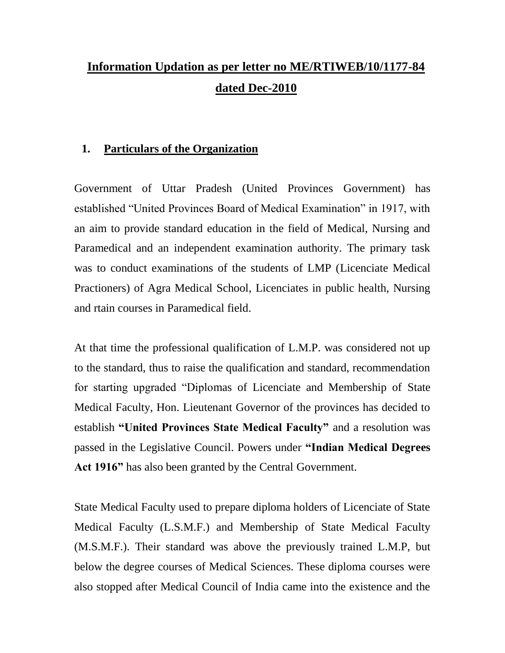# **Information Updation as per letter no ME/RTIWEB/10/1177-84 dated Dec-2010**

#### **1. Particulars of the Organization**

Government of Uttar Pradesh (United Provinces Government) has established "United Provinces Board of Medical Examination" in 1917, with an aim to provide standard education in the field of Medical, Nursing and Paramedical and an independent examination authority. The primary task was to conduct examinations of the students of LMP (Licenciate Medical Practioners) of Agra Medical School, Licenciates in public health, Nursing and rtain courses in Paramedical field.

At that time the professional qualification of L.M.P. was considered not up to the standard, thus to raise the qualification and standard, recommendation for starting upgraded "Diplomas of Licenciate and Membership of State Medical Faculty, Hon. Lieutenant Governor of the provinces has decided to establish **"United Provinces State Medical Faculty"** and a resolution was passed in the Legislative Council. Powers under **"Indian Medical Degrees Act 1916"** has also been granted by the Central Government.

State Medical Faculty used to prepare diploma holders of Licenciate of State Medical Faculty (L.S.M.F.) and Membership of State Medical Faculty (M.S.M.F.). Their standard was above the previously trained L.M.P, but below the degree courses of Medical Sciences. These diploma courses were also stopped after Medical Council of India came into the existence and the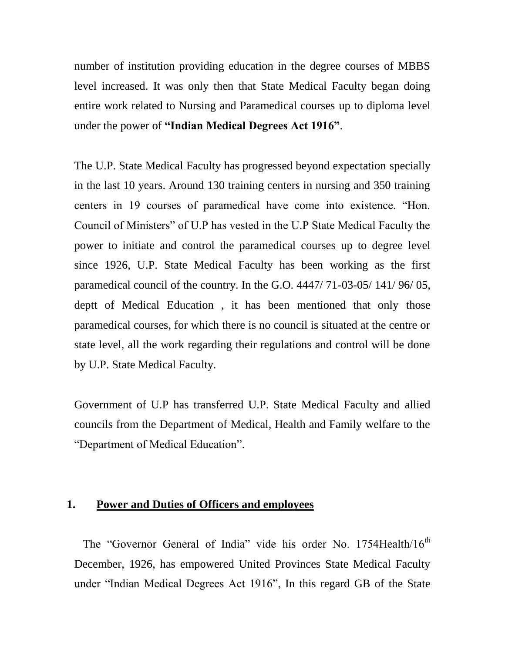number of institution providing education in the degree courses of MBBS level increased. It was only then that State Medical Faculty began doing entire work related to Nursing and Paramedical courses up to diploma level under the power of **"Indian Medical Degrees Act 1916"**.

The U.P. State Medical Faculty has progressed beyond expectation specially in the last 10 years. Around 130 training centers in nursing and 350 training centers in 19 courses of paramedical have come into existence. "Hon. Council of Ministers" of U.P has vested in the U.P State Medical Faculty the power to initiate and control the paramedical courses up to degree level since 1926, U.P. State Medical Faculty has been working as the first paramedical council of the country. In the G.O. 4447/ 71-03-05/ 141/ 96/ 05, deptt of Medical Education , it has been mentioned that only those paramedical courses, for which there is no council is situated at the centre or state level, all the work regarding their regulations and control will be done by U.P. State Medical Faculty.

Government of U.P has transferred U.P. State Medical Faculty and allied councils from the Department of Medical, Health and Family welfare to the "Department of Medical Education".

#### **1. Power and Duties of Officers and employees**

The "Governor General of India" vide his order No. 1754Health/16<sup>th</sup> December, 1926, has empowered United Provinces State Medical Faculty under "Indian Medical Degrees Act 1916", In this regard GB of the State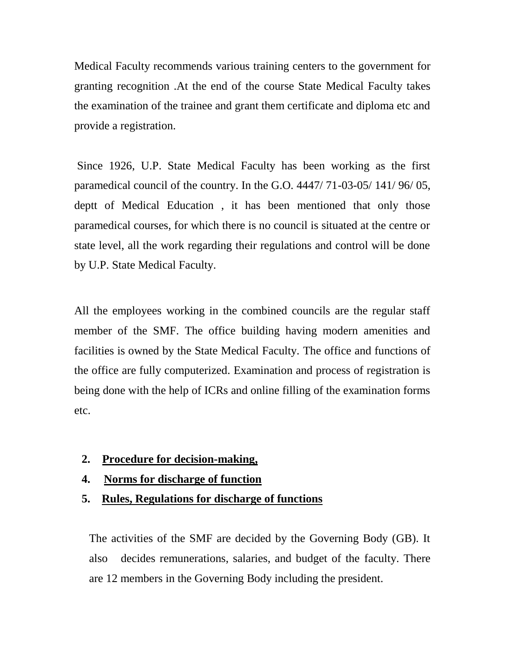Medical Faculty recommends various training centers to the government for granting recognition .At the end of the course State Medical Faculty takes the examination of the trainee and grant them certificate and diploma etc and provide a registration.

Since 1926, U.P. State Medical Faculty has been working as the first paramedical council of the country. In the G.O. 4447/ 71-03-05/ 141/ 96/ 05, deptt of Medical Education , it has been mentioned that only those paramedical courses, for which there is no council is situated at the centre or state level, all the work regarding their regulations and control will be done by U.P. State Medical Faculty.

All the employees working in the combined councils are the regular staff member of the SMF. The office building having modern amenities and facilities is owned by the State Medical Faculty. The office and functions of the office are fully computerized. Examination and process of registration is being done with the help of ICRs and online filling of the examination forms etc.

- **2. Procedure for decision-making,**
- **4. Norms for discharge of function**
- **5. Rules, Regulations for discharge of functions**

The activities of the SMF are decided by the Governing Body (GB). It also decides remunerations, salaries, and budget of the faculty. There are 12 members in the Governing Body including the president.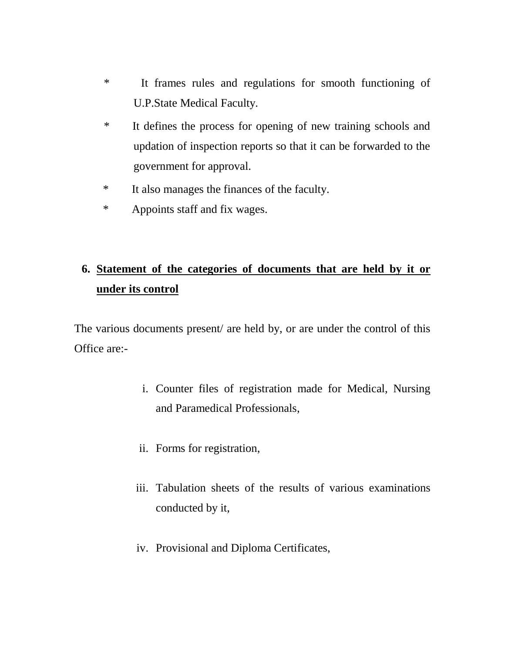- \* It frames rules and regulations for smooth functioning of U.P.State Medical Faculty.
- \* It defines the process for opening of new training schools and updation of inspection reports so that it can be forwarded to the government for approval.
- \* It also manages the finances of the faculty.
- \* Appoints staff and fix wages.

## **6. Statement of the categories of documents that are held by it or under its control**

The various documents present/ are held by, or are under the control of this Office are:-

- i. Counter files of registration made for Medical, Nursing and Paramedical Professionals,
- ii. Forms for registration,
- iii. Tabulation sheets of the results of various examinations conducted by it,
- iv. Provisional and Diploma Certificates,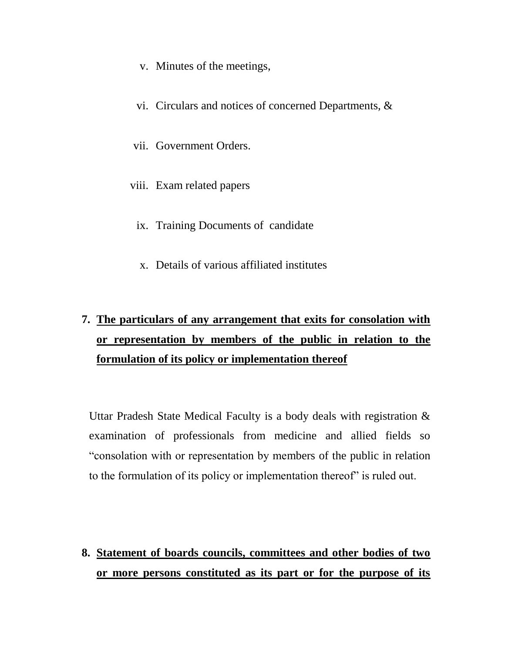- v. Minutes of the meetings,
- vi. Circulars and notices of concerned Departments, &
- vii. Government Orders.
- viii. Exam related papers
	- ix. Training Documents of candidate
	- x. Details of various affiliated institutes

# **7. The particulars of any arrangement that exits for consolation with or representation by members of the public in relation to the formulation of its policy or implementation thereof**

Uttar Pradesh State Medical Faculty is a body deals with registration & examination of professionals from medicine and allied fields so "consolation with or representation by members of the public in relation to the formulation of its policy or implementation thereof" is ruled out.

### **8. Statement of boards councils, committees and other bodies of two or more persons constituted as its part or for the purpose of its**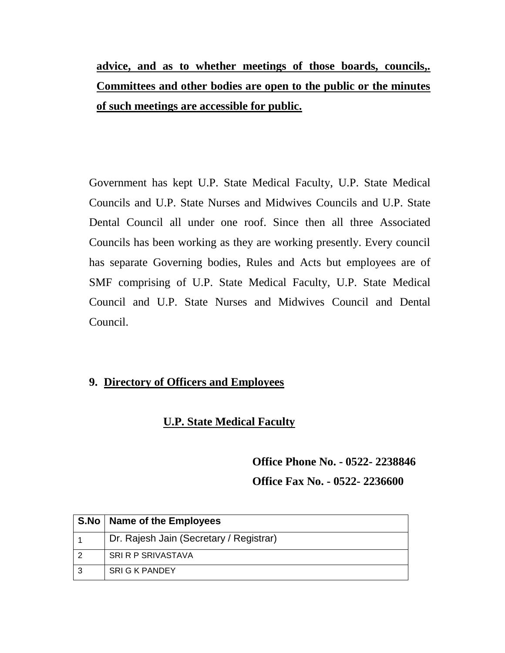# **advice, and as to whether meetings of those boards, councils,. Committees and other bodies are open to the public or the minutes of such meetings are accessible for public.**

Government has kept U.P. State Medical Faculty, U.P. State Medical Councils and U.P. State Nurses and Midwives Councils and U.P. State Dental Council all under one roof. Since then all three Associated Councils has been working as they are working presently. Every council has separate Governing bodies, Rules and Acts but employees are of SMF comprising of U.P. State Medical Faculty, U.P. State Medical Council and U.P. State Nurses and Midwives Council and Dental Council.

#### **9. Directory of Officers and Employees**

#### **U.P. State Medical Faculty**

**Office Phone No. - 0522- 2238846 Office Fax No. - 0522- 2236600**

| S.No   Name of the Employees            |
|-----------------------------------------|
| Dr. Rajesh Jain (Secretary / Registrar) |
| SRI R P SRIVASTAVA                      |
| <b>SRI G K PANDEY</b>                   |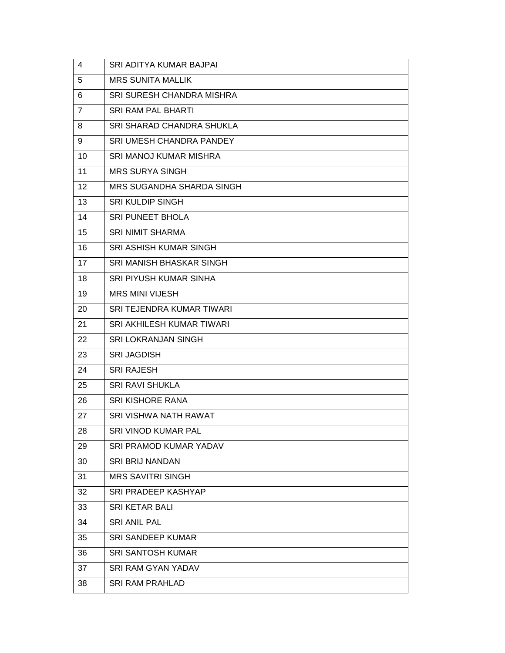| 4              | <b>SRI ADITYA KUMAR BAJPAI</b>   |
|----------------|----------------------------------|
| 5              | <b>MRS SUNITA MALLIK</b>         |
| 6              | <b>SRI SURESH CHANDRA MISHRA</b> |
| $\overline{7}$ | <b>SRI RAM PAL BHARTI</b>        |
| 8              | SRI SHARAD CHANDRA SHUKLA        |
| 9              | SRI UMESH CHANDRA PANDEY         |
| 10             | <b>SRI MANOJ KUMAR MISHRA</b>    |
| 11             | <b>MRS SURYA SINGH</b>           |
| 12             | MRS SUGANDHA SHARDA SINGH        |
| 13             | <b>SRI KULDIP SINGH</b>          |
| 14             | <b>SRI PUNEET BHOLA</b>          |
| 15             | <b>SRI NIMIT SHARMA</b>          |
| 16             | <b>SRI ASHISH KUMAR SINGH</b>    |
| 17             | SRI MANISH BHASKAR SINGH         |
| 18             | <b>SRI PIYUSH KUMAR SINHA</b>    |
| 19             | <b>MRS MINI VIJESH</b>           |
| 20             | SRI TEJENDRA KUMAR TIWARI        |
| 21             | SRI AKHILESH KUMAR TIWARI        |
| 22             | SRI LOKRANJAN SINGH              |
| 23             | <b>SRI JAGDISH</b>               |
| 24             | <b>SRI RAJESH</b>                |
| 25             | <b>SRI RAVI SHUKLA</b>           |
| 26             | <b>SRI KISHORE RANA</b>          |
| 27             | <b>SRI VISHWA NATH RAWAT</b>     |
| 28             | SRI VINOD KUMAR PAL              |
| 29             | <b>SRI PRAMOD KUMAR YADAV</b>    |
| 30             | <b>SRI BRIJ NANDAN</b>           |
| 31             | <b>MRS SAVITRI SINGH</b>         |
| 32             | <b>SRI PRADEEP KASHYAP</b>       |
| 33             | <b>SRI KETAR BALI</b>            |
| 34             | <b>SRI ANIL PAL</b>              |
| 35             | <b>SRI SANDEEP KUMAR</b>         |
| 36             | <b>SRI SANTOSH KUMAR</b>         |
| 37             | <b>SRI RAM GYAN YADAV</b>        |
| 38             | <b>SRI RAM PRAHLAD</b>           |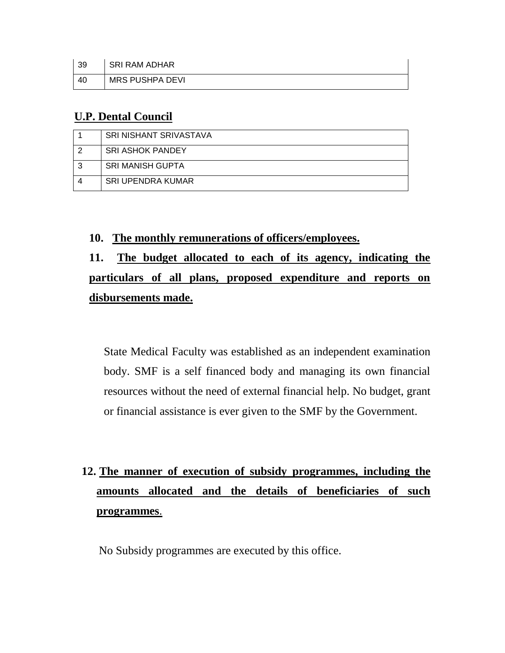| - 39 | <b>SRI RAM ADHAR</b>   |
|------|------------------------|
| 40   | <b>MRS PUSHPA DEVI</b> |

#### **U.P. Dental Council**

|   | <b>SRI NISHANT SRIVASTAVA</b> |
|---|-------------------------------|
|   | <b>SRI ASHOK PANDEY</b>       |
| 3 | <b>SRI MANISH GUPTA</b>       |
|   | <b>SRI UPENDRA KUMAR</b>      |

**10. The monthly remunerations of officers/employees.**

## **11. The budget allocated to each of its agency, indicating the particulars of all plans, proposed expenditure and reports on disbursements made.**

State Medical Faculty was established as an independent examination body. SMF is a self financed body and managing its own financial resources without the need of external financial help. No budget, grant or financial assistance is ever given to the SMF by the Government.

# **12. The manner of execution of subsidy programmes, including the amounts allocated and the details of beneficiaries of such programmes**.

No Subsidy programmes are executed by this office.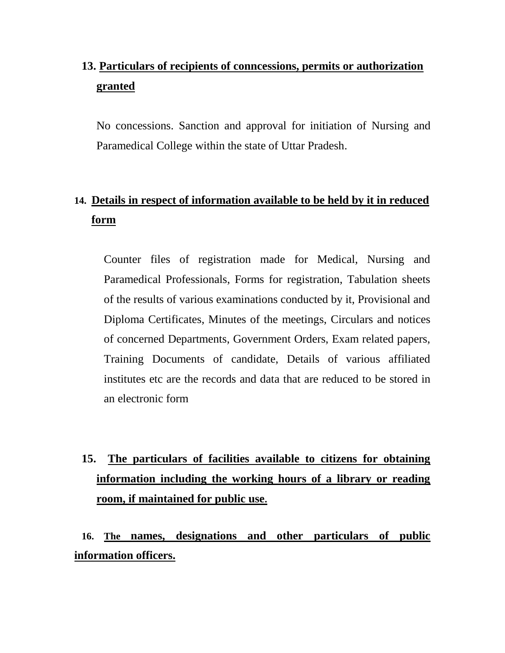## **13. Particulars of recipients of conncessions, permits or authorization granted**

No concessions. Sanction and approval for initiation of Nursing and Paramedical College within the state of Uttar Pradesh.

### **14. Details in respect of information available to be held by it in reduced form**

Counter files of registration made for Medical, Nursing and Paramedical Professionals, Forms for registration, Tabulation sheets of the results of various examinations conducted by it, Provisional and Diploma Certificates, Minutes of the meetings, Circulars and notices of concerned Departments, Government Orders, Exam related papers, Training Documents of candidate, Details of various affiliated institutes etc are the records and data that are reduced to be stored in an electronic form

# **15. The particulars of facilities available to citizens for obtaining information including the working hours of a library or reading room, if maintained for public use.**

**16. The names, designations and other particulars of public information officers.**